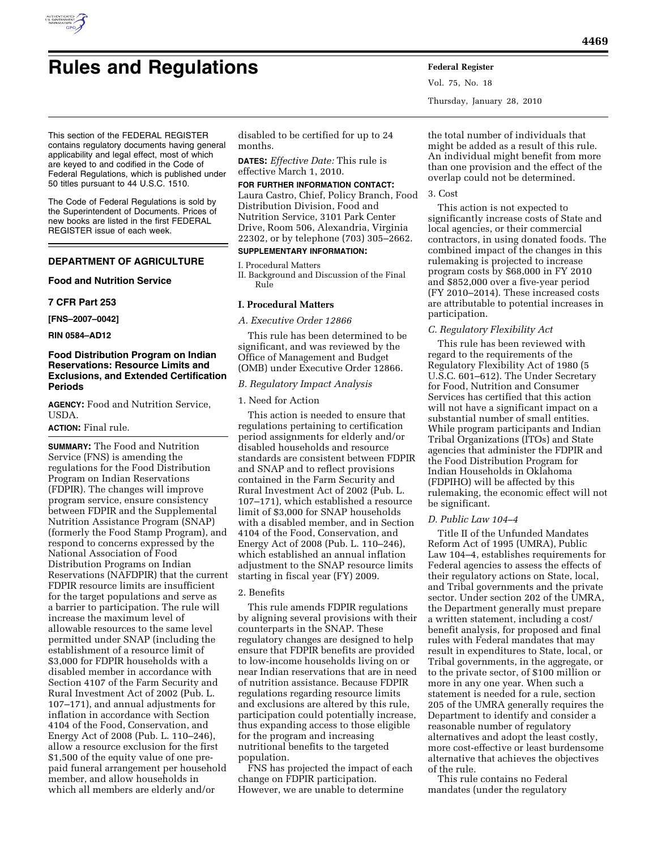

Vol. 75, No. 18 Thursday, January 28, 2010

This section of the FEDERAL REGISTER contains regulatory documents having general applicability and legal effect, most of which are keyed to and codified in the Code of Federal Regulations, which is published under 50 titles pursuant to 44 U.S.C. 1510.

The Code of Federal Regulations is sold by the Superintendent of Documents. Prices of new books are listed in the first FEDERAL REGISTER issue of each week.

# **DEPARTMENT OF AGRICULTURE**

**Food and Nutrition Service** 

#### **7 CFR Part 253**

**[FNS–2007–0042]** 

**RIN 0584–AD12** 

# **Food Distribution Program on Indian Reservations: Resource Limits and Exclusions, and Extended Certification Periods**

**AGENCY:** Food and Nutrition Service, USDA.

## **ACTION:** Final rule.

**SUMMARY:** The Food and Nutrition Service (FNS) is amending the regulations for the Food Distribution Program on Indian Reservations (FDPIR). The changes will improve program service, ensure consistency between FDPIR and the Supplemental Nutrition Assistance Program (SNAP) (formerly the Food Stamp Program), and respond to concerns expressed by the National Association of Food Distribution Programs on Indian Reservations (NAFDPIR) that the current FDPIR resource limits are insufficient for the target populations and serve as a barrier to participation. The rule will increase the maximum level of allowable resources to the same level permitted under SNAP (including the establishment of a resource limit of \$3,000 for FDPIR households with a disabled member in accordance with Section 4107 of the Farm Security and Rural Investment Act of 2002 (Pub. L. 107–171), and annual adjustments for inflation in accordance with Section 4104 of the Food, Conservation, and Energy Act of 2008 (Pub. L. 110–246), allow a resource exclusion for the first \$1,500 of the equity value of one prepaid funeral arrangement per household member, and allow households in which all members are elderly and/or

disabled to be certified for up to 24 months.

**DATES:** *Effective Date:* This rule is effective March 1, 2010.

#### **FOR FURTHER INFORMATION CONTACT:**

Laura Castro, Chief, Policy Branch, Food Distribution Division, Food and Nutrition Service, 3101 Park Center Drive, Room 506, Alexandria, Virginia 22302, or by telephone (703) 305–2662.

## **SUPPLEMENTARY INFORMATION:**

I. Procedural Matters

II. Background and Discussion of the Final Rule

## **I. Procedural Matters**

*A. Executive Order 12866* 

This rule has been determined to be significant, and was reviewed by the Office of Management and Budget (OMB) under Executive Order 12866.

#### *B. Regulatory Impact Analysis*

# 1. Need for Action

This action is needed to ensure that regulations pertaining to certification period assignments for elderly and/or disabled households and resource standards are consistent between FDPIR and SNAP and to reflect provisions contained in the Farm Security and Rural Investment Act of 2002 (Pub. L. 107–171), which established a resource limit of \$3,000 for SNAP households with a disabled member, and in Section 4104 of the Food, Conservation, and Energy Act of 2008 (Pub. L. 110–246), which established an annual inflation adjustment to the SNAP resource limits starting in fiscal year (FY) 2009.

# 2. Benefits

This rule amends FDPIR regulations by aligning several provisions with their counterparts in the SNAP. These regulatory changes are designed to help ensure that FDPIR benefits are provided to low-income households living on or near Indian reservations that are in need of nutrition assistance. Because FDPIR regulations regarding resource limits and exclusions are altered by this rule, participation could potentially increase, thus expanding access to those eligible for the program and increasing nutritional benefits to the targeted population.

FNS has projected the impact of each change on FDPIR participation. However, we are unable to determine

the total number of individuals that might be added as a result of this rule. An individual might benefit from more than one provision and the effect of the overlap could not be determined.

#### 3. Cost

This action is not expected to significantly increase costs of State and local agencies, or their commercial contractors, in using donated foods. The combined impact of the changes in this rulemaking is projected to increase program costs by \$68,000 in FY 2010 and \$852,000 over a five-year period (FY 2010–2014). These increased costs are attributable to potential increases in participation.

#### *C. Regulatory Flexibility Act*

This rule has been reviewed with regard to the requirements of the Regulatory Flexibility Act of 1980 (5 U.S.C. 601–612). The Under Secretary for Food, Nutrition and Consumer Services has certified that this action will not have a significant impact on a substantial number of small entities. While program participants and Indian Tribal Organizations (ITOs) and State agencies that administer the FDPIR and the Food Distribution Program for Indian Households in Oklahoma (FDPIHO) will be affected by this rulemaking, the economic effect will not be significant.

#### *D. Public Law 104–4*

Title II of the Unfunded Mandates Reform Act of 1995 (UMRA), Public Law 104–4, establishes requirements for Federal agencies to assess the effects of their regulatory actions on State, local, and Tribal governments and the private sector. Under section 202 of the UMRA, the Department generally must prepare a written statement, including a cost/ benefit analysis, for proposed and final rules with Federal mandates that may result in expenditures to State, local, or Tribal governments, in the aggregate, or to the private sector, of \$100 million or more in any one year. When such a statement is needed for a rule, section 205 of the UMRA generally requires the Department to identify and consider a reasonable number of regulatory alternatives and adopt the least costly, more cost-effective or least burdensome alternative that achieves the objectives of the rule.

This rule contains no Federal mandates (under the regulatory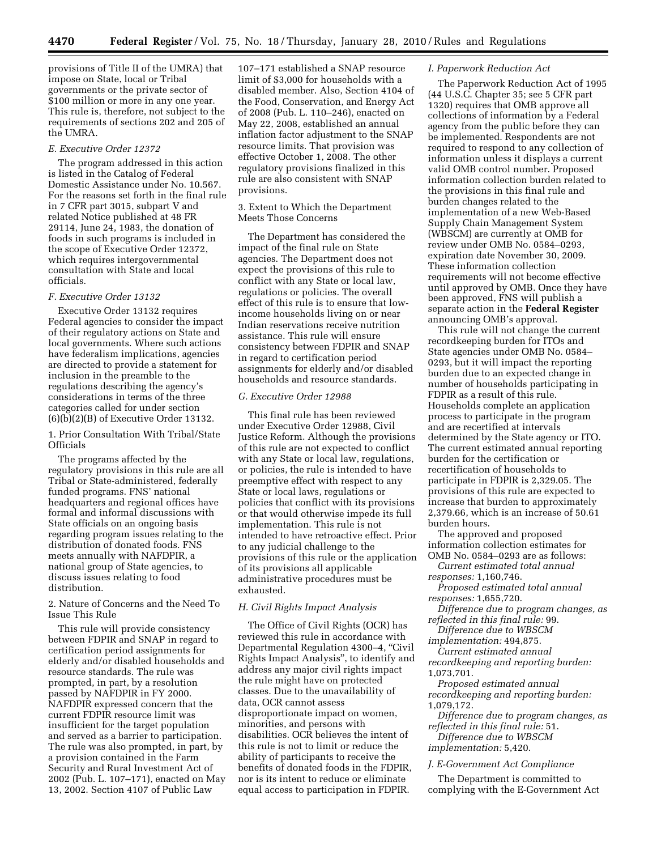provisions of Title II of the UMRA) that impose on State, local or Tribal governments or the private sector of \$100 million or more in any one year. This rule is, therefore, not subject to the requirements of sections 202 and 205 of the UMRA.

## *E. Executive Order 12372*

The program addressed in this action is listed in the Catalog of Federal Domestic Assistance under No. 10.567. For the reasons set forth in the final rule in 7 CFR part 3015, subpart V and related Notice published at 48 FR 29114, June 24, 1983, the donation of foods in such programs is included in the scope of Executive Order 12372, which requires intergovernmental consultation with State and local officials.

#### *F. Executive Order 13132*

Executive Order 13132 requires Federal agencies to consider the impact of their regulatory actions on State and local governments. Where such actions have federalism implications, agencies are directed to provide a statement for inclusion in the preamble to the regulations describing the agency's considerations in terms of the three categories called for under section (6)(b)(2)(B) of Executive Order 13132.

1. Prior Consultation With Tribal/State **Officials** 

The programs affected by the regulatory provisions in this rule are all Tribal or State-administered, federally funded programs. FNS' national headquarters and regional offices have formal and informal discussions with State officials on an ongoing basis regarding program issues relating to the distribution of donated foods. FNS meets annually with NAFDPIR, a national group of State agencies, to discuss issues relating to food distribution.

2. Nature of Concerns and the Need To Issue This Rule

This rule will provide consistency between FDPIR and SNAP in regard to certification period assignments for elderly and/or disabled households and resource standards. The rule was prompted, in part, by a resolution passed by NAFDPIR in FY 2000. NAFDPIR expressed concern that the current FDPIR resource limit was insufficient for the target population and served as a barrier to participation. The rule was also prompted, in part, by a provision contained in the Farm Security and Rural Investment Act of 2002 (Pub. L. 107–171), enacted on May 13, 2002. Section 4107 of Public Law

107–171 established a SNAP resource limit of \$3,000 for households with a disabled member. Also, Section 4104 of the Food, Conservation, and Energy Act of 2008 (Pub. L. 110–246), enacted on May 22, 2008, established an annual inflation factor adjustment to the SNAP resource limits. That provision was effective October 1, 2008. The other regulatory provisions finalized in this rule are also consistent with SNAP provisions.

3. Extent to Which the Department Meets Those Concerns

The Department has considered the impact of the final rule on State agencies. The Department does not expect the provisions of this rule to conflict with any State or local law, regulations or policies. The overall effect of this rule is to ensure that lowincome households living on or near Indian reservations receive nutrition assistance. This rule will ensure consistency between FDPIR and SNAP in regard to certification period assignments for elderly and/or disabled households and resource standards.

# *G. Executive Order 12988*

This final rule has been reviewed under Executive Order 12988, Civil Justice Reform. Although the provisions of this rule are not expected to conflict with any State or local law, regulations, or policies, the rule is intended to have preemptive effect with respect to any State or local laws, regulations or policies that conflict with its provisions or that would otherwise impede its full implementation. This rule is not intended to have retroactive effect. Prior to any judicial challenge to the provisions of this rule or the application of its provisions all applicable administrative procedures must be exhausted.

# *H. Civil Rights Impact Analysis*

The Office of Civil Rights (OCR) has reviewed this rule in accordance with Departmental Regulation 4300–4, ''Civil Rights Impact Analysis'', to identify and address any major civil rights impact the rule might have on protected classes. Due to the unavailability of data, OCR cannot assess disproportionate impact on women, minorities, and persons with disabilities. OCR believes the intent of this rule is not to limit or reduce the ability of participants to receive the benefits of donated foods in the FDPIR, nor is its intent to reduce or eliminate equal access to participation in FDPIR.

## *I. Paperwork Reduction Act*

The Paperwork Reduction Act of 1995 (44 U.S.C. Chapter 35; see 5 CFR part 1320) requires that OMB approve all collections of information by a Federal agency from the public before they can be implemented. Respondents are not required to respond to any collection of information unless it displays a current valid OMB control number. Proposed information collection burden related to the provisions in this final rule and burden changes related to the implementation of a new Web-Based Supply Chain Management System (WBSCM) are currently at OMB for review under OMB No. 0584–0293, expiration date November 30, 2009. These information collection requirements will not become effective until approved by OMB. Once they have been approved, FNS will publish a separate action in the **Federal Register**  announcing OMB's approval.

This rule will not change the current recordkeeping burden for ITOs and State agencies under OMB No. 0584– 0293, but it will impact the reporting burden due to an expected change in number of households participating in FDPIR as a result of this rule. Households complete an application process to participate in the program and are recertified at intervals determined by the State agency or ITO. The current estimated annual reporting burden for the certification or recertification of households to participate in FDPIR is 2,329.05. The provisions of this rule are expected to increase that burden to approximately 2,379.66, which is an increase of 50.61 burden hours.

The approved and proposed information collection estimates for OMB No. 0584–0293 are as follows:

*Current estimated total annual responses:* 1,160,746.

*Proposed estimated total annual responses:* 1,655,720.

*Difference due to program changes, as reflected in this final rule:* 99.

*Difference due to WBSCM implementation:* 494,875.

*Current estimated annual* 

*recordkeeping and reporting burden:*  1,073,701.

*Proposed estimated annual recordkeeping and reporting burden:*  1,079,172.

*Difference due to program changes, as reflected in this final rule:* 51.

*Difference due to WBSCM implementation:* 5,420.

*J. E-Government Act Compliance* 

The Department is committed to complying with the E-Government Act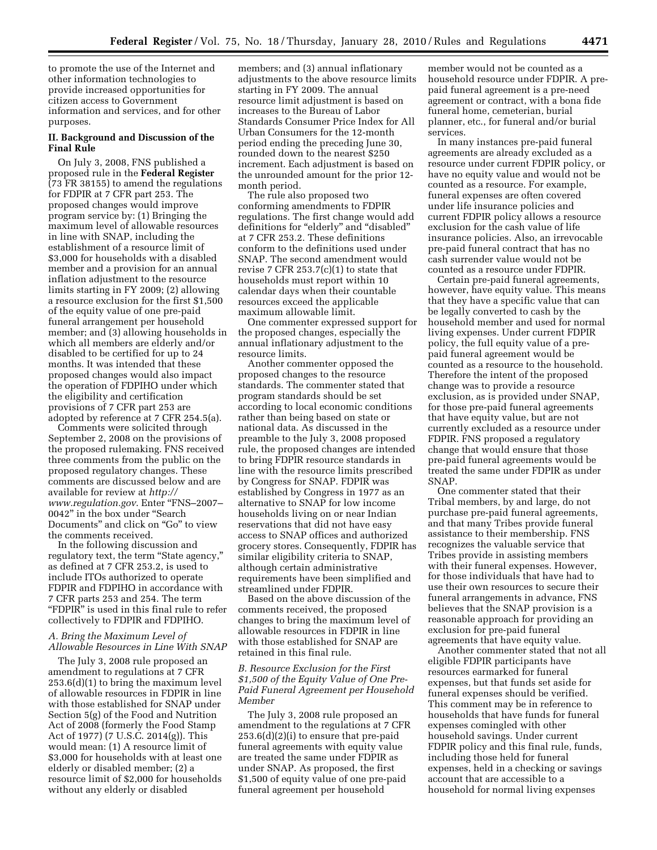to promote the use of the Internet and other information technologies to provide increased opportunities for citizen access to Government information and services, and for other purposes.

# **II. Background and Discussion of the Final Rule**

On July 3, 2008, FNS published a proposed rule in the **Federal Register**  (73 FR 38155) to amend the regulations for FDPIR at 7 CFR part 253. The proposed changes would improve program service by: (1) Bringing the maximum level of allowable resources in line with SNAP, including the establishment of a resource limit of \$3,000 for households with a disabled member and a provision for an annual inflation adjustment to the resource limits starting in FY 2009; (2) allowing a resource exclusion for the first \$1,500 of the equity value of one pre-paid funeral arrangement per household member; and (3) allowing households in which all members are elderly and/or disabled to be certified for up to 24 months. It was intended that these proposed changes would also impact the operation of FDPIHO under which the eligibility and certification provisions of 7 CFR part 253 are adopted by reference at 7 CFR 254.5(a).

Comments were solicited through September 2, 2008 on the provisions of the proposed rulemaking. FNS received three comments from the public on the proposed regulatory changes. These comments are discussed below and are available for review at *http:// www.regulation.gov*. Enter ''FNS–2007– 0042'' in the box under ''Search Documents'' and click on ''Go'' to view the comments received.

In the following discussion and regulatory text, the term "State agency," as defined at 7 CFR 253.2, is used to include ITOs authorized to operate FDPIR and FDPIHO in accordance with 7 CFR parts 253 and 254. The term ''FDPIR'' is used in this final rule to refer collectively to FDPIR and FDPIHO.

# *A. Bring the Maximum Level of Allowable Resources in Line With SNAP*

The July 3, 2008 rule proposed an amendment to regulations at 7 CFR 253.6(d)(1) to bring the maximum level of allowable resources in FDPIR in line with those established for SNAP under Section 5(g) of the Food and Nutrition Act of 2008 (formerly the Food Stamp Act of 1977) (7 U.S.C. 2014(g)). This would mean: (1) A resource limit of \$3,000 for households with at least one elderly or disabled member; (2) a resource limit of \$2,000 for households without any elderly or disabled

members; and (3) annual inflationary adjustments to the above resource limits starting in FY 2009. The annual resource limit adjustment is based on increases to the Bureau of Labor Standards Consumer Price Index for All Urban Consumers for the 12-month period ending the preceding June 30, rounded down to the nearest \$250 increment. Each adjustment is based on the unrounded amount for the prior 12 month period.

The rule also proposed two conforming amendments to FDPIR regulations. The first change would add definitions for "elderly" and "disabled" at 7 CFR 253.2. These definitions conform to the definitions used under SNAP. The second amendment would revise 7 CFR  $253.7(c)(1)$  to state that households must report within 10 calendar days when their countable resources exceed the applicable maximum allowable limit.

One commenter expressed support for the proposed changes, especially the annual inflationary adjustment to the resource limits.

Another commenter opposed the proposed changes to the resource standards. The commenter stated that program standards should be set according to local economic conditions rather than being based on state or national data. As discussed in the preamble to the July 3, 2008 proposed rule, the proposed changes are intended to bring FDPIR resource standards in line with the resource limits prescribed by Congress for SNAP. FDPIR was established by Congress in 1977 as an alternative to SNAP for low income households living on or near Indian reservations that did not have easy access to SNAP offices and authorized grocery stores. Consequently, FDPIR has similar eligibility criteria to SNAP, although certain administrative requirements have been simplified and streamlined under FDPIR.

Based on the above discussion of the comments received, the proposed changes to bring the maximum level of allowable resources in FDPIR in line with those established for SNAP are retained in this final rule.

# *B. Resource Exclusion for the First \$1,500 of the Equity Value of One Pre-Paid Funeral Agreement per Household Member*

The July 3, 2008 rule proposed an amendment to the regulations at 7 CFR 253.6(d)(2)(i) to ensure that pre-paid funeral agreements with equity value are treated the same under FDPIR as under SNAP. As proposed, the first \$1,500 of equity value of one pre-paid funeral agreement per household

member would not be counted as a household resource under FDPIR. A prepaid funeral agreement is a pre-need agreement or contract, with a bona fide funeral home, cemeterian, burial planner, etc., for funeral and/or burial services.

In many instances pre-paid funeral agreements are already excluded as a resource under current FDPIR policy, or have no equity value and would not be counted as a resource. For example, funeral expenses are often covered under life insurance policies and current FDPIR policy allows a resource exclusion for the cash value of life insurance policies. Also, an irrevocable pre-paid funeral contract that has no cash surrender value would not be counted as a resource under FDPIR.

Certain pre-paid funeral agreements, however, have equity value. This means that they have a specific value that can be legally converted to cash by the household member and used for normal living expenses. Under current FDPIR policy, the full equity value of a prepaid funeral agreement would be counted as a resource to the household. Therefore the intent of the proposed change was to provide a resource exclusion, as is provided under SNAP, for those pre-paid funeral agreements that have equity value, but are not currently excluded as a resource under FDPIR. FNS proposed a regulatory change that would ensure that those pre-paid funeral agreements would be treated the same under FDPIR as under SNAP.

One commenter stated that their Tribal members, by and large, do not purchase pre-paid funeral agreements, and that many Tribes provide funeral assistance to their membership. FNS recognizes the valuable service that Tribes provide in assisting members with their funeral expenses. However, for those individuals that have had to use their own resources to secure their funeral arrangements in advance, FNS believes that the SNAP provision is a reasonable approach for providing an exclusion for pre-paid funeral agreements that have equity value.

Another commenter stated that not all eligible FDPIR participants have resources earmarked for funeral expenses, but that funds set aside for funeral expenses should be verified. This comment may be in reference to households that have funds for funeral expenses comingled with other household savings. Under current FDPIR policy and this final rule, funds, including those held for funeral expenses, held in a checking or savings account that are accessible to a household for normal living expenses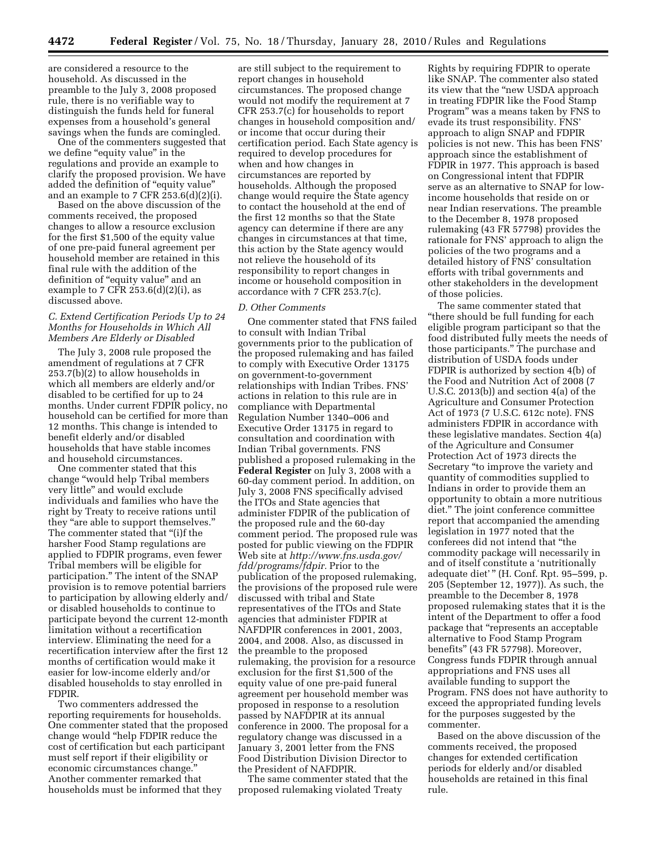are considered a resource to the household. As discussed in the preamble to the July 3, 2008 proposed rule, there is no verifiable way to distinguish the funds held for funeral expenses from a household's general savings when the funds are comingled.

One of the commenters suggested that we define "equity value" in the regulations and provide an example to clarify the proposed provision. We have added the definition of ''equity value'' and an example to 7 CFR 253.6(d)(2)(i).

Based on the above discussion of the comments received, the proposed changes to allow a resource exclusion for the first \$1,500 of the equity value of one pre-paid funeral agreement per household member are retained in this final rule with the addition of the definition of ''equity value'' and an example to 7 CFR  $253.6(d)(2)(i)$ , as discussed above.

# *C. Extend Certification Periods Up to 24 Months for Households in Which All Members Are Elderly or Disabled*

The July 3, 2008 rule proposed the amendment of regulations at 7 CFR 253.7(b)(2) to allow households in which all members are elderly and/or disabled to be certified for up to 24 months. Under current FDPIR policy, no household can be certified for more than 12 months. This change is intended to benefit elderly and/or disabled households that have stable incomes and household circumstances.

One commenter stated that this change ''would help Tribal members very little'' and would exclude individuals and families who have the right by Treaty to receive rations until they ''are able to support themselves.'' The commenter stated that "(i)f the harsher Food Stamp regulations are applied to FDPIR programs, even fewer Tribal members will be eligible for participation.'' The intent of the SNAP provision is to remove potential barriers to participation by allowing elderly and/ or disabled households to continue to participate beyond the current 12-month limitation without a recertification interview. Eliminating the need for a recertification interview after the first 12 months of certification would make it easier for low-income elderly and/or disabled households to stay enrolled in FDPIR.

Two commenters addressed the reporting requirements for households. One commenter stated that the proposed change would ''help FDPIR reduce the cost of certification but each participant must self report if their eligibility or economic circumstances change.'' Another commenter remarked that households must be informed that they

are still subject to the requirement to report changes in household circumstances. The proposed change would not modify the requirement at 7 CFR 253.7(c) for households to report changes in household composition and/ or income that occur during their certification period. Each State agency is required to develop procedures for when and how changes in circumstances are reported by households. Although the proposed change would require the State agency to contact the household at the end of the first 12 months so that the State agency can determine if there are any changes in circumstances at that time, this action by the State agency would not relieve the household of its responsibility to report changes in income or household composition in accordance with 7 CFR 253.7(c).

#### *D. Other Comments*

One commenter stated that FNS failed to consult with Indian Tribal governments prior to the publication of the proposed rulemaking and has failed to comply with Executive Order 13175 on government-to-government relationships with Indian Tribes. FNS' actions in relation to this rule are in compliance with Departmental Regulation Number 1340–006 and Executive Order 13175 in regard to consultation and coordination with Indian Tribal governments. FNS published a proposed rulemaking in the **Federal Register** on July 3, 2008 with a 60-day comment period. In addition, on July 3, 2008 FNS specifically advised the ITOs and State agencies that administer FDPIR of the publication of the proposed rule and the 60-day comment period. The proposed rule was posted for public viewing on the FDPIR Web site at *http://www.fns.usda.gov/ fdd/programs/fdpir.* Prior to the publication of the proposed rulemaking, the provisions of the proposed rule were discussed with tribal and State representatives of the ITOs and State agencies that administer FDPIR at NAFDPIR conferences in 2001, 2003, 2004, and 2008. Also, as discussed in the preamble to the proposed rulemaking, the provision for a resource exclusion for the first \$1,500 of the equity value of one pre-paid funeral agreement per household member was proposed in response to a resolution passed by NAFDPIR at its annual conference in 2000. The proposal for a regulatory change was discussed in a January 3, 2001 letter from the FNS Food Distribution Division Director to the President of NAFDPIR.

The same commenter stated that the proposed rulemaking violated Treaty

Rights by requiring FDPIR to operate like SNAP. The commenter also stated its view that the "new USDA approach" in treating FDPIR like the Food Stamp Program'' was a means taken by FNS to evade its trust responsibility. FNS' approach to align SNAP and FDPIR policies is not new. This has been FNS' approach since the establishment of FDPIR in 1977. This approach is based on Congressional intent that FDPIR serve as an alternative to SNAP for lowincome households that reside on or near Indian reservations. The preamble to the December 8, 1978 proposed rulemaking (43 FR 57798) provides the rationale for FNS' approach to align the policies of the two programs and a detailed history of FNS' consultation efforts with tribal governments and other stakeholders in the development of those policies.

The same commenter stated that ''there should be full funding for each eligible program participant so that the food distributed fully meets the needs of those participants.'' The purchase and distribution of USDA foods under FDPIR is authorized by section 4(b) of the Food and Nutrition Act of 2008 (7 U.S.C. 2013(b)) and section 4(a) of the Agriculture and Consumer Protection Act of 1973 (7 U.S.C. 612c note). FNS administers FDPIR in accordance with these legislative mandates. Section 4(a) of the Agriculture and Consumer Protection Act of 1973 directs the Secretary ''to improve the variety and quantity of commodities supplied to Indians in order to provide them an opportunity to obtain a more nutritious diet.'' The joint conference committee report that accompanied the amending legislation in 1977 noted that the conferees did not intend that ''the commodity package will necessarily in and of itself constitute a 'nutritionally adequate diet'" (H. Conf. Rpt. 95-599, p. 205 (September 12, 1977)). As such, the preamble to the December 8, 1978 proposed rulemaking states that it is the intent of the Department to offer a food package that ''represents an acceptable alternative to Food Stamp Program benefits'' (43 FR 57798). Moreover, Congress funds FDPIR through annual appropriations and FNS uses all available funding to support the Program. FNS does not have authority to exceed the appropriated funding levels for the purposes suggested by the commenter.

Based on the above discussion of the comments received, the proposed changes for extended certification periods for elderly and/or disabled households are retained in this final rule.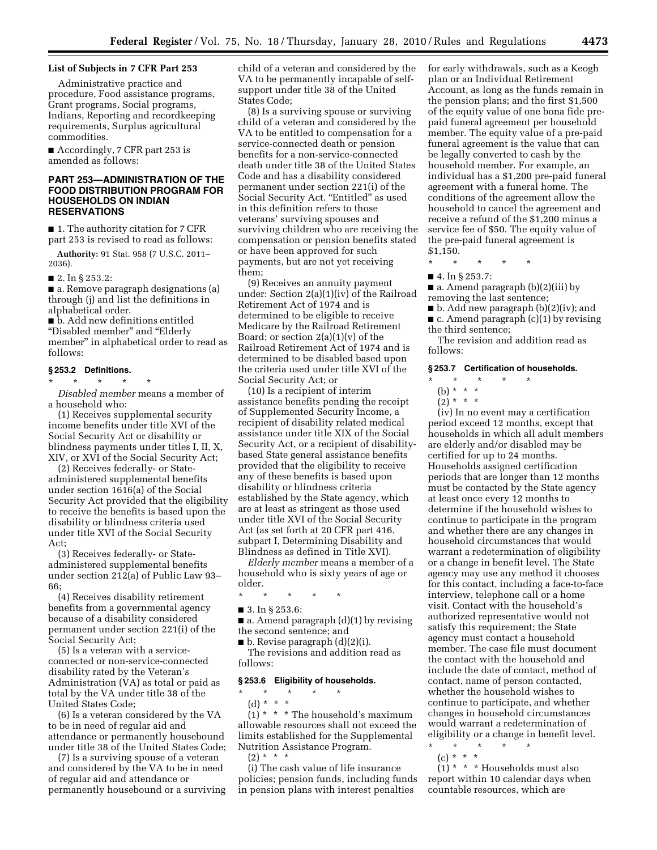# **List of Subjects in 7 CFR Part 253**

Administrative practice and procedure, Food assistance programs, Grant programs, Social programs, Indians, Reporting and recordkeeping requirements, Surplus agricultural commodities.

■ Accordingly, 7 CFR part 253 is amended as follows:

# **PART 253—ADMINISTRATION OF THE FOOD DISTRIBUTION PROGRAM FOR HOUSEHOLDS ON INDIAN RESERVATIONS**

■ 1. The authority citation for 7 CFR part 253 is revised to read as follows:

**Authority:** 91 Stat. 958 (7 U.S.C. 2011– 2036).

■ 2. In § 253.2:

■ a. Remove paragraph designations (a) through (j) and list the definitions in alphabetical order.

■ b. Add new definitions entitled ''Disabled member'' and ''Elderly member'' in alphabetical order to read as follows:

# **§ 253.2 Definitions.**

\* \* \* \* \*

*Disabled member* means a member of a household who:

(1) Receives supplemental security income benefits under title XVI of the Social Security Act or disability or blindness payments under titles I, II, X, XIV, or XVI of the Social Security Act;

(2) Receives federally- or Stateadministered supplemental benefits under section 1616(a) of the Social Security Act provided that the eligibility to receive the benefits is based upon the disability or blindness criteria used under title XVI of the Social Security Act;

(3) Receives federally- or Stateadministered supplemental benefits under section 212(a) of Public Law 93– 66;

(4) Receives disability retirement benefits from a governmental agency because of a disability considered permanent under section 221(i) of the Social Security Act;

(5) Is a veteran with a serviceconnected or non-service-connected disability rated by the Veteran's Administration (VA) as total or paid as total by the VA under title 38 of the United States Code;

(6) Is a veteran considered by the VA to be in need of regular aid and attendance or permanently housebound under title 38 of the United States Code;

(7) Is a surviving spouse of a veteran and considered by the VA to be in need of regular aid and attendance or permanently housebound or a surviving child of a veteran and considered by the VA to be permanently incapable of selfsupport under title 38 of the United States Code;

(8) Is a surviving spouse or surviving child of a veteran and considered by the VA to be entitled to compensation for a service-connected death or pension benefits for a non-service-connected death under title 38 of the United States Code and has a disability considered permanent under section 221(i) of the Social Security Act. "Entitled" as used in this definition refers to those veterans' surviving spouses and surviving children who are receiving the compensation or pension benefits stated or have been approved for such payments, but are not yet receiving them;

(9) Receives an annuity payment under: Section 2(a)(1)(iv) of the Railroad Retirement Act of 1974 and is determined to be eligible to receive Medicare by the Railroad Retirement Board; or section  $2(a)(1)(v)$  of the Railroad Retirement Act of 1974 and is determined to be disabled based upon the criteria used under title XVI of the Social Security Act; or

(10) Is a recipient of interim assistance benefits pending the receipt of Supplemented Security Income, a recipient of disability related medical assistance under title XIX of the Social Security Act, or a recipient of disabilitybased State general assistance benefits provided that the eligibility to receive any of these benefits is based upon disability or blindness criteria established by the State agency, which are at least as stringent as those used under title XVI of the Social Security Act (as set forth at 20 CFR part 416, subpart I, Determining Disability and Blindness as defined in Title XVI).

*Elderly member* means a member of a household who is sixty years of age or older.

\* \* \* \* \*

■ 3. In § 253.6:

■ a. Amend paragraph (d)(1) by revising the second sentence; and

 $\blacksquare$  b. Revise paragraph  $(d)(2)(i)$ .

The revisions and addition read as follows:

## **§ 253.6 Eligibility of households.**

 $\star$   $\qquad$   $\star$   $\qquad$   $\star$ (d) \* \* \*

 $(1)$  \* \* \* The household's maximum allowable resources shall not exceed the limits established for the Supplemental Nutrition Assistance Program.  $(2) * * * *$ 

(i) The cash value of life insurance policies; pension funds, including funds in pension plans with interest penalties

for early withdrawals, such as a Keogh plan or an Individual Retirement Account, as long as the funds remain in the pension plans; and the first \$1,500 of the equity value of one bona fide prepaid funeral agreement per household member. The equity value of a pre-paid funeral agreement is the value that can be legally converted to cash by the household member. For example, an individual has a \$1,200 pre-paid funeral agreement with a funeral home. The conditions of the agreement allow the household to cancel the agreement and receive a refund of the \$1,200 minus a service fee of \$50. The equity value of the pre-paid funeral agreement is \$1,150.

\* \* \* \* \*

■ 4. In § 253.7:

 $\blacksquare$  a. Amend paragraph (b)(2)(iii) by removing the last sentence;

 $\blacksquare$  b. Add new paragraph (b)(2)(iv); and ■ c. Amend paragraph (c)(1) by revising

the third sentence;

The revision and addition read as follows:

#### **§ 253.7 Certification of households.**

\* \* \* \* \*

- (b) \* \* \*
- $(2) * * * *$

(iv) In no event may a certification period exceed 12 months, except that households in which all adult members are elderly and/or disabled may be certified for up to 24 months. Households assigned certification periods that are longer than 12 months must be contacted by the State agency at least once every 12 months to determine if the household wishes to continue to participate in the program and whether there are any changes in household circumstances that would warrant a redetermination of eligibility or a change in benefit level. The State agency may use any method it chooses for this contact, including a face-to-face interview, telephone call or a home visit. Contact with the household's authorized representative would not satisfy this requirement; the State agency must contact a household member. The case file must document the contact with the household and include the date of contact, method of contact, name of person contacted, whether the household wishes to continue to participate, and whether changes in household circumstances would warrant a redetermination of eligibility or a change in benefit level. \* \* \* \* \*

(c) \* \* \*

 $(1)$  \* \* \* Households must also report within 10 calendar days when countable resources, which are